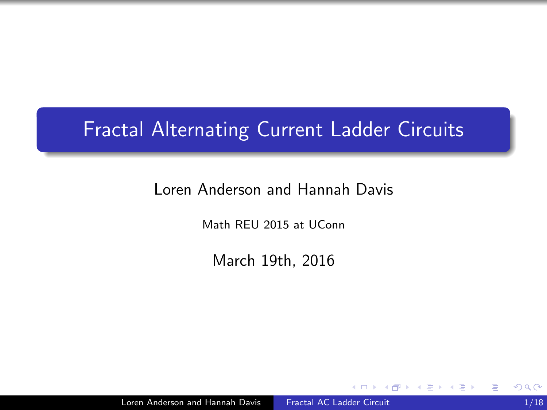## <span id="page-0-0"></span>Fractal Alternating Current Ladder Circuits

#### Loren Anderson and Hannah Davis

Math REU 2015 at UConn

March 19th, 2016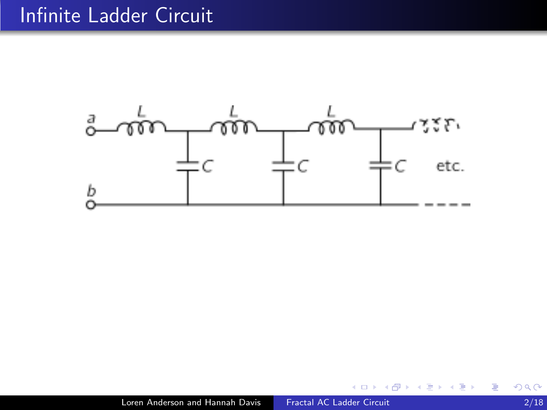## Infinite Ladder Circuit



 $\leftarrow$ 

 $\sim$ 

Þ

∍ ×

Ξ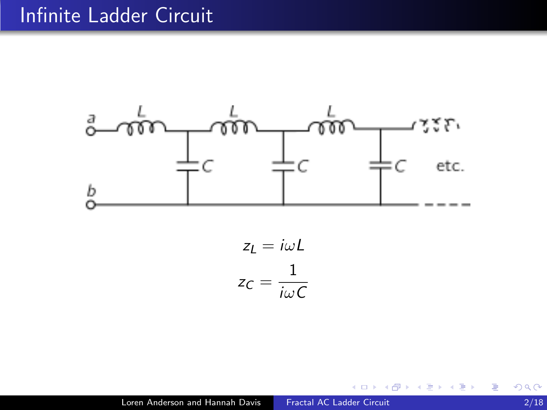### Infinite Ladder Circuit



$$
z_L = i\omega L
$$

$$
z_C = \frac{1}{i\omega C}
$$

 $\leftarrow$ 

 $\sim$ 

Þ

∍ ×

Ξ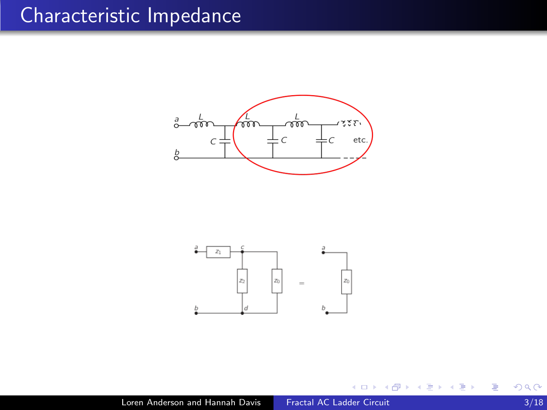



 $\leftarrow$ 

Þ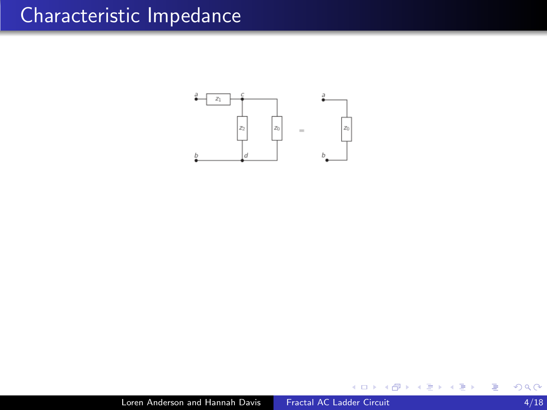

a.  $\Box$  Þ

Έ **B**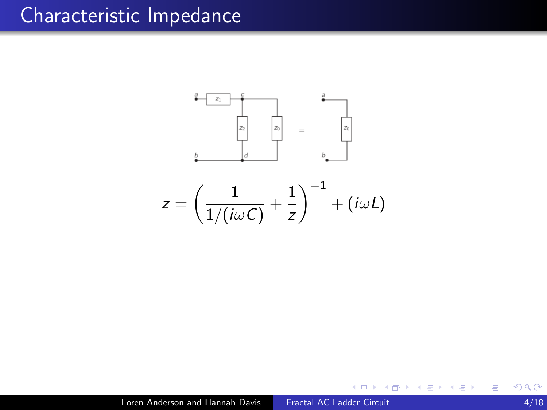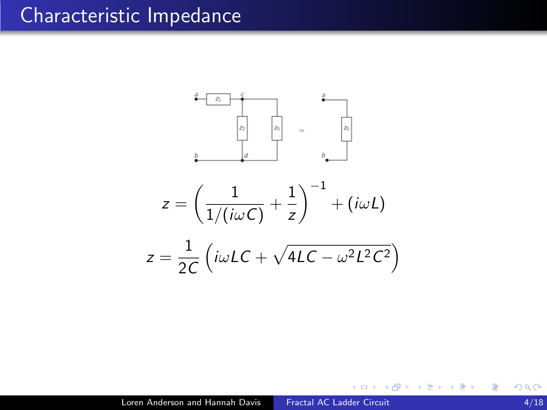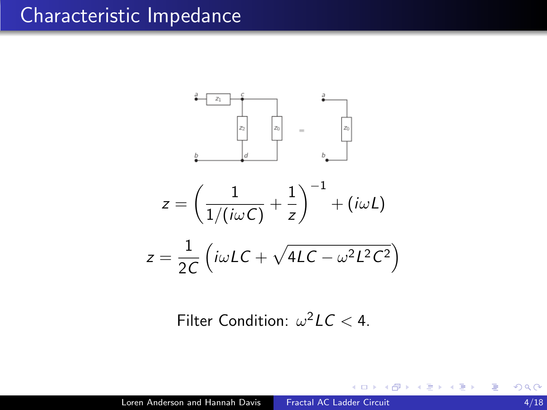

Filter Condition:  $\omega^2 LC < 4$ .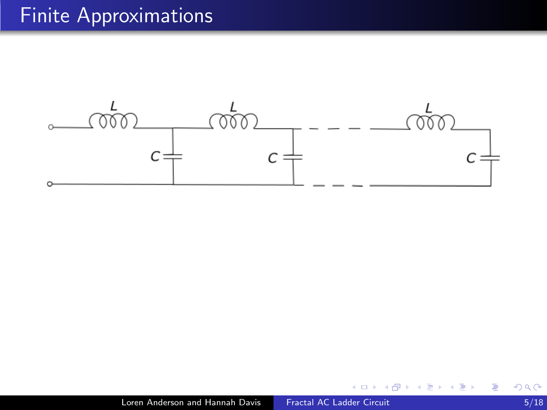

 $\leftarrow$ 

- b a.  $\sim$ 

同

∍

Έ

**B** 

Ε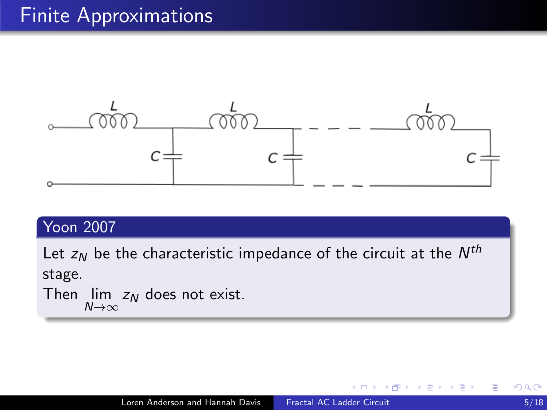

### Yoon 2007

Let  $z_{\mathcal{N}}$  be the characteristic impedance of the circuit at the  $\mathcal{N}^{th}$ stage.

Then  $\lim_{N\to\infty} z_N$  does not exist.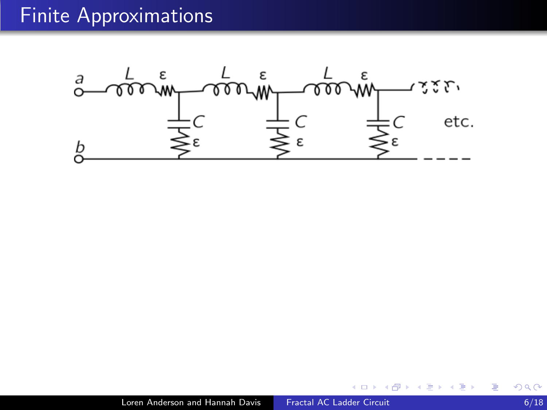

 $\leftarrow$   $\Box$   $\rightarrow$ 

4 伊  $\sim$ э

×

目

∍ ×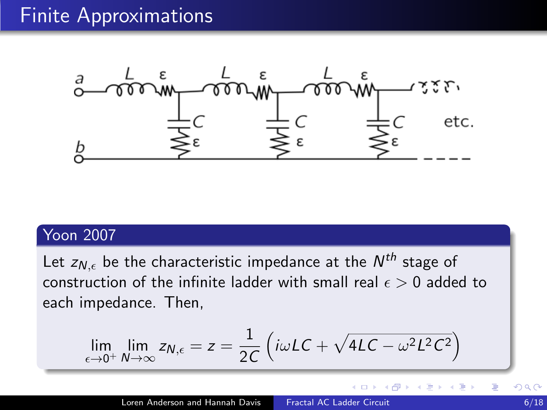

#### Yoon 2007

Let  $z_{N,\epsilon}$  be the characteristic impedance at the  $N^{th}$  stage of construction of the infinite ladder with small real  $\epsilon > 0$  added to each impedance. Then,

$$
\lim_{\epsilon \to 0^+} \lim_{N \to \infty} z_{N,\epsilon} = z = \frac{1}{2C} \left( i\omega LC + \sqrt{4LC - \omega^2 L^2 C^2} \right)
$$

 $\Box$ 

点

∍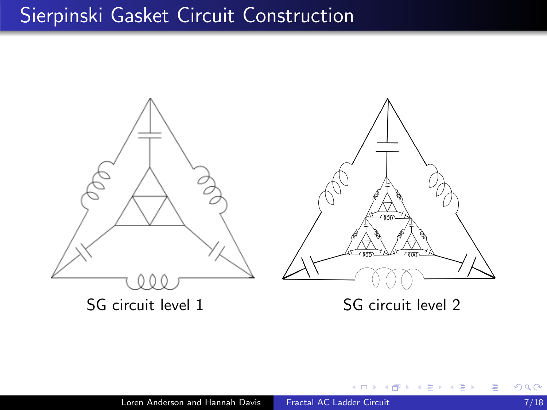## Sierpinski Gasket Circuit Construction



 $\leftarrow$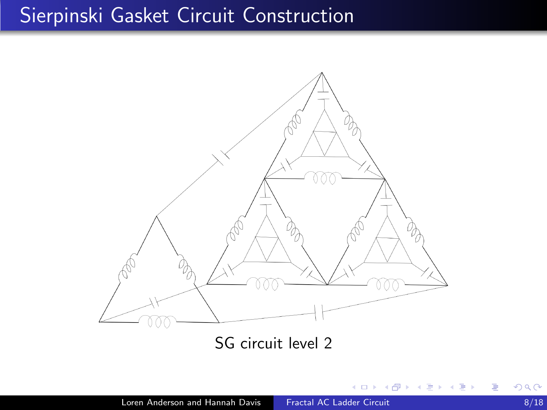## Sierpinski Gasket Circuit Construction



SG circuit level 2

×  $\Box$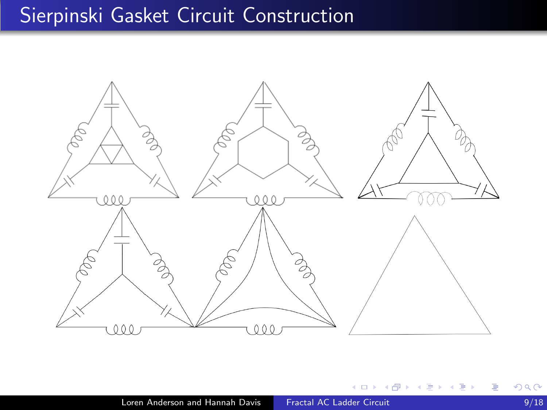# Sierpinski Gasket Circuit Construction



 $\leftarrow$ 

∍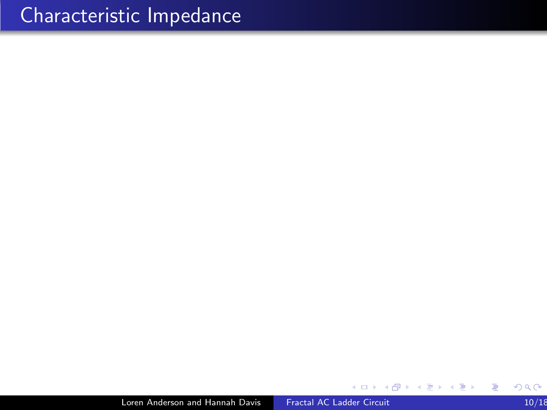$\Box$ 

∍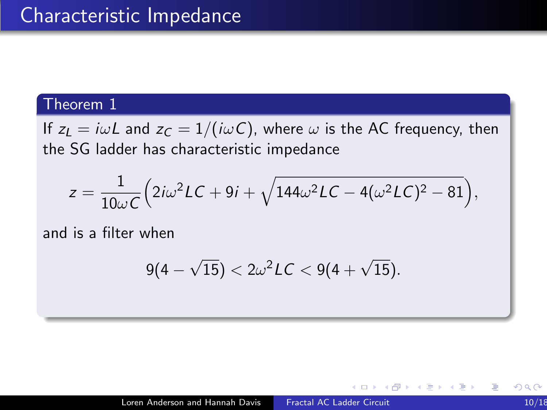If  $z_L = i\omega L$  and  $z_C = 1/(i\omega C)$ , where  $\omega$  is the AC frequency, then the SG ladder has characteristic impedance

$$
z=\frac{1}{10\omega C}\Big(2i\omega^2 LC+9i+\sqrt{144\omega^2 LC-4(\omega^2 LC)^2-81}\Big),
$$

and is a filter when

$$
9(4-\sqrt{15})<2\omega^2 LC<9(4+\sqrt{15}).
$$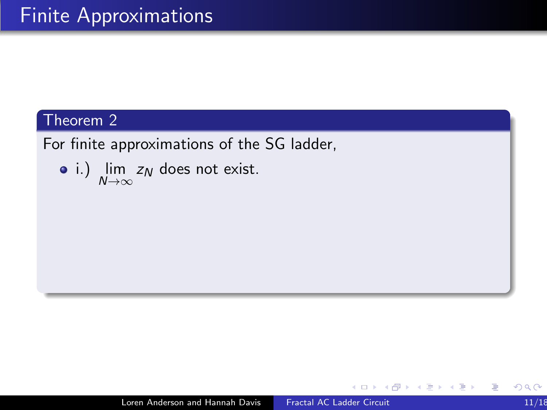For finite approximations of the SG ladder,

• i.) 
$$
\lim_{N \to \infty} z_N
$$
 does not exist.

 $\leftarrow$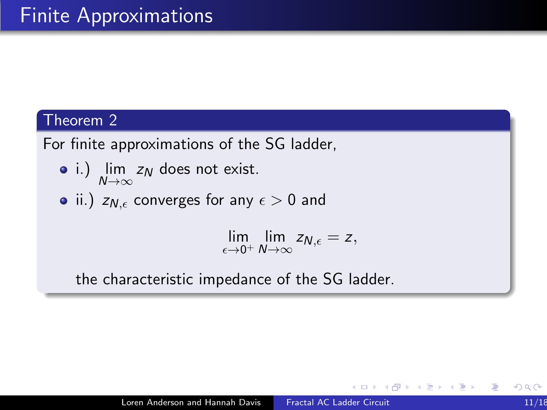For finite approximations of the SG ladder,

- i.) lim  $z_N$  does not exist.  $N\rightarrow\infty$
- ii.)  $z_{N,\epsilon}$  converges for any  $\epsilon > 0$  and

 $\lim_{\epsilon \to 0^+} \lim_{N \to \infty} z_{N,\epsilon} = z,$ 

the characteristic impedance of the SG ladder.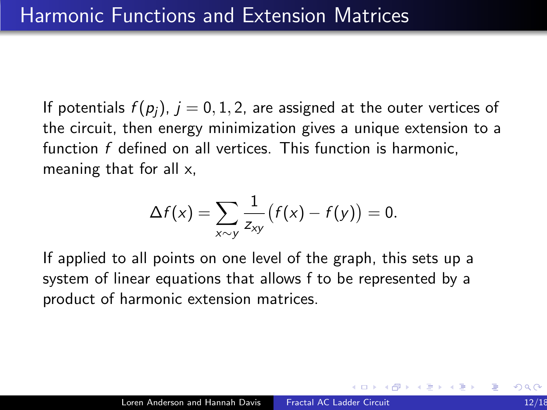If potentials  $f(p_i)$ ,  $j = 0, 1, 2$ , are assigned at the outer vertices of the circuit, then energy minimization gives a unique extension to a function f defined on all vertices. This function is harmonic, meaning that for all x,

$$
\Delta f(x) = \sum_{x \sim y} \frac{1}{z_{xy}} (f(x) - f(y)) = 0.
$$

If applied to all points on one level of the graph, this sets up a system of linear equations that allows f to be represented by a product of harmonic extension matrices.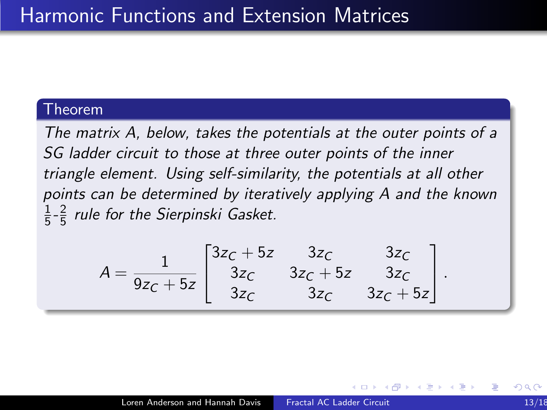The matrix A, below, takes the potentials at the outer points of a SG ladder circuit to those at three outer points of the inner triangle element. Using self-similarity, the potentials at all other points can be determined by iteratively applying A and the known 1  $\frac{1}{5}$ - $\frac{2}{5}$  $\frac{2}{5}$  rule for the Sierpinski Gasket.

$$
A = \frac{1}{9z_C + 5z} \begin{bmatrix} 3z_C + 5z & 3z_C & 3z_C \\ 3z_C & 3z_C + 5z & 3z_C \\ 3z_C & 3z_C & 3z_C + 5z \end{bmatrix}.
$$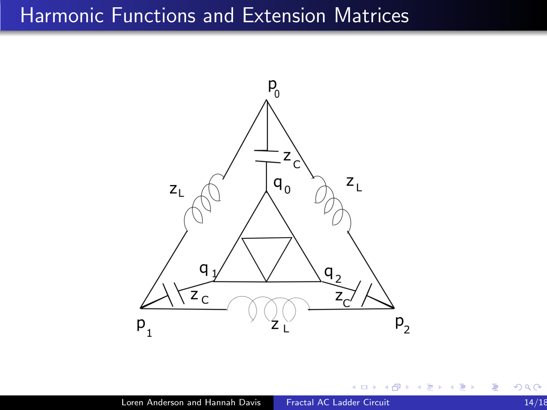### Harmonic Functions and Extension Matrices



a.  $\Box$  ∍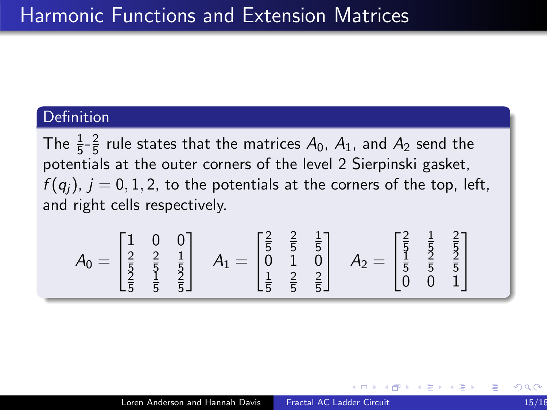#### **Definition**

The  $\frac{1}{5} - \frac{2}{5}$  $\frac{2}{5}$  rule states that the matrices  $A_0$ ,  $A_1$ , and  $A_2$  send the potentials at the outer corners of the level 2 Sierpinski gasket,  $f(q_i)$ ,  $j = 0, 1, 2$ , to the potentials at the corners of the top, left, and right cells respectively.

$$
A_0 = \begin{bmatrix} 1 & 0 & 0 \\ \frac{2}{5} & \frac{2}{5} & \frac{1}{5} \\ \frac{2}{5} & \frac{1}{5} & \frac{1}{5} \end{bmatrix} \quad A_1 = \begin{bmatrix} \frac{2}{5} & \frac{2}{5} & \frac{1}{5} \\ 0 & 1 & 0 \\ \frac{1}{5} & \frac{2}{5} & \frac{2}{5} \end{bmatrix} \quad A_2 = \begin{bmatrix} \frac{2}{5} & \frac{1}{5} & \frac{2}{5} \\ \frac{1}{5} & \frac{2}{5} & \frac{2}{5} \\ 0 & 0 & 1 \end{bmatrix}
$$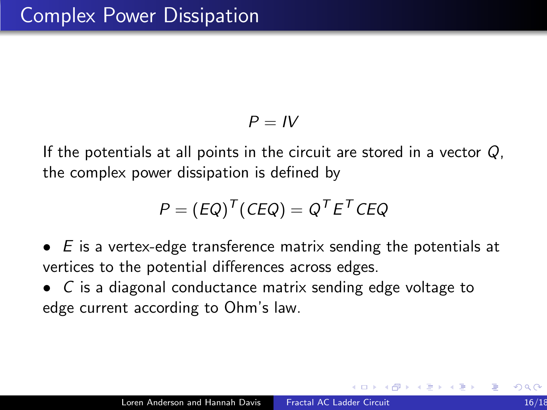$$
P = IV
$$

If the potentials at all points in the circuit are stored in a vector  $Q$ . the complex power dissipation is defined by

$$
P = (EQ)^T (CEQ) = Q^T E^T CEQ
$$

- $\bullet$  E is a vertex-edge transference matrix sending the potentials at vertices to the potential differences across edges.
- C is a diagonal conductance matrix sending edge voltage to edge current according to Ohm's law.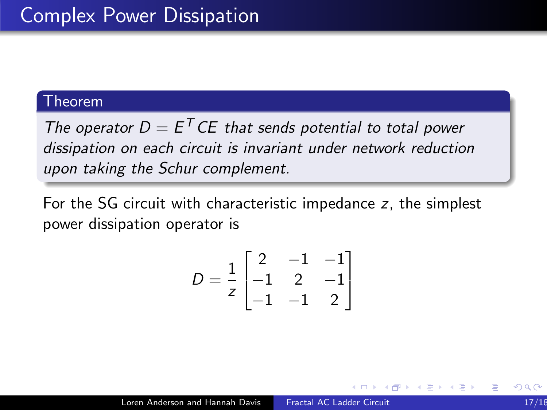The operator  $D = E^T C E$  that sends potential to total power dissipation on each circuit is invariant under network reduction upon taking the Schur complement.

For the SG circuit with characteristic impedance z, the simplest power dissipation operator is

$$
D = \frac{1}{z} \begin{bmatrix} 2 & -1 & -1 \\ -1 & 2 & -1 \\ -1 & -1 & 2 \end{bmatrix}
$$